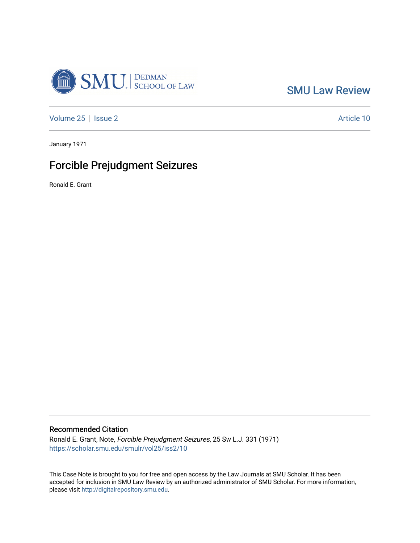

[SMU Law Review](https://scholar.smu.edu/smulr) 

[Volume 25](https://scholar.smu.edu/smulr/vol25) | [Issue 2](https://scholar.smu.edu/smulr/vol25/iss2) Article 10

January 1971

# Forcible Prejudgment Seizures

Ronald E. Grant

### Recommended Citation

Ronald E. Grant, Note, Forcible Prejudgment Seizures, 25 SW L.J. 331 (1971) [https://scholar.smu.edu/smulr/vol25/iss2/10](https://scholar.smu.edu/smulr/vol25/iss2/10?utm_source=scholar.smu.edu%2Fsmulr%2Fvol25%2Fiss2%2F10&utm_medium=PDF&utm_campaign=PDFCoverPages)

This Case Note is brought to you for free and open access by the Law Journals at SMU Scholar. It has been accepted for inclusion in SMU Law Review by an authorized administrator of SMU Scholar. For more information, please visit [http://digitalrepository.smu.edu.](http://digitalrepository.smu.edu/)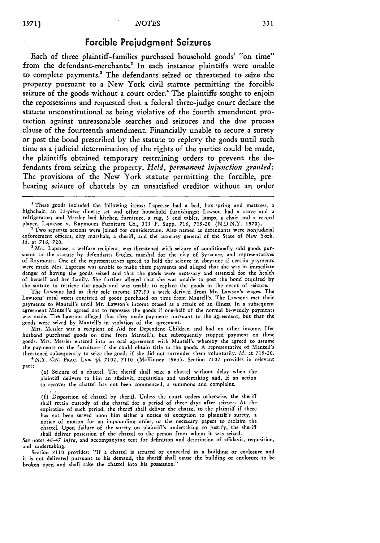## Forcible Prejudgment Seizures

Each of three plaintiff-families purchased household goods' **"on** time" from the defendant-merchants.<sup>2</sup> In each instance plaintiffs were unable to complete payments.' The defendants seized or threatened to seize the property pursuant to a New York civil statute permitting the forcible seizure of the goods without a court order.<sup>4</sup> The plaintiffs sought to enjoin the repossessions and requested that a federal three-judge court declare the statute unconstitutional as being violative of the fourth amendment protection against unreasonable searches and seizures and the due process clause of the fourteenth amendment. Financially unable to secure a surety or post the bond prescribed **by** the statute to replevy the goods until such time as a judicial determination of the rights of the parties could be made, the plaintiffs obtained temporary restraining orders to prevent the defendants from seizing the property. *Held, permanent injunction granted:* The provisions of the New York statute permitting the forcible, prehearing seizure of chattels **by** an unsatisfied creditor without an order

 $2$  Two separate actions were joined for consideration. Also named as defendants were nonjudicial enforcement officers, city marshals, a sheriff, and the attorney general of the State **of** New York. *Id.* at 716, 720.

**a** Mrs. Laprease, a welfare recipient, was threatened with seizure of conditionally sold goods pursuant to the statute by defendants Engles, marshal for the city of Syracuse, and representatives of Raymours. One of the representatives agreed to hold the seizure in abeyance if certain payments were made. Mrs. Laprease was unable to make these payments and alleged that she was in immediate danger of having the goods seized and that the goods were necessary and essential for the health of herself and her family. She further alleged that she was unable to post the bond required by the statute to retrieve the goods and was unable to replace the goods in the event of seizure.

The Lawsons had as their sole income \$77.50 a week derived from Mr. Lawson's wages. The Lawsons' total assets consisted of goods purchased on time from Mantell's. The Lawsons met their payments to Mantell's until Mr. Lawson's income ceased as a result of an illness. In a subsequent agreement Mantell's agreed not to repossess the goods if one-half of the normal bi-weekly payments was made. The Lawsons alleged that they made payments pursuant to the agreement, but that the goods were seized by Mantell's in violation of the agreement.

Mrs. Messler was a recipient of Aid for Dependent Children and had no other income. Her husband purchased goods on time from Mantell's, but subsequently stopped payment on these goods. Mrs. Messier entered into an oral agreement with Mantell's whereby she agreed to assume the payments on the furniture if she could obtain title to the goods. A representative of Mantell's threatened subsequently to seize the goods if she did not surrender them voluntarily. Id. at 719-20. threatened subsequently to seize the goods if she did not surrender them voluntarily. *Id.* at 719-20. <sup>4</sup> N.Y. CiV. **PRAC.** LAW **§§** 7102, 7110 (McKinney 1963). Section 7102 provides in relevant

part:

(a) Seizure of a chattel. The sheriff shall seize a chattel without delay when the plaintiff delivers to him an affidavit, requisition and undertaking and, if an action to recover the chattel has not been commenced, a summons and complaint.

**(f)** Disposition of chattel by sheriff. Unless the court orders otherwise, the sheriff shall retain custody of the chattel for a period of three days after seizure. At the expiration of such period, the sheriff shall deliver the chattel to the plaintiff if there has not been served upon him either a notice of exception to plaintiff's surety, a notice of motion for an impounding order, or the necessary papers to reclaim the chattel. Upon failure of the surety on plaintiff's undertaking to justify, the sheriff shall deliver possession of the chattel to the person from whom it was seized.

*See* notes 46-47 infra, and accompanying text for definition and description of affidavit, requisition, and undertaking.

Section **7110** provides: **"If** a chattel is secured or concealed in a building or enclosure and it is not delivered pursuant to his demand, the sheriff shall cause the building or enclosure to be broken open and shall take the chattel into his possession."

<sup>&#</sup>x27;These goods included the following items: Laprease had a bed, box-spring and mattress, a highchair, an 11-piece dinette set and other household furnishings; Lawson had a stove and a refrigerator; and Messler had kitchen furniture, a rug, 3 end tables, lamps, a chair and a record player. Laprease v. Raymours Furniture Co., 315 F. Supp. 716, 719-20 (N.D.N.Y. 1970).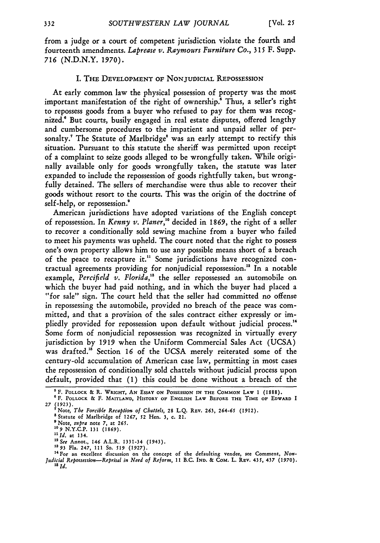from a judge or a court of competent jurisdiction violate the fourth and fourteenth amendments. *Laprease v. Raymours Furniture Co.,* **315** F. Supp. *716* (N.D.N.Y. 1970).

#### I. THE **DEVELOPMENT** OF **NONJUDICIAL REPOSSESSION**

At early common law the physical possession of property was the most important manifestation of the right of ownership.<sup>8</sup> Thus, a seller's right to repossess goods from a buyer who refused to pay for them was recognized.<sup>6</sup> But courts, busily engaged in real estate disputes, offered lengthy and cumbersome procedures to the impatient and unpaid seller of personalty." The Statute of Marlbridge' was an early attempt to rectify this situation. Pursuant to this statute the sheriff was permitted upon receipt of a complaint to seize goods alleged to be wrongfully taken. While originally available only for goods wrongfully taken, the statute was later expanded to include the repossession of goods rightfully taken, but wrongfully detained. The sellers of merchandise were thus able to recover their goods without resort to the courts. This was the origin of the doctrine of self-help, or repossession.<sup>9</sup>

American jurisdictions have adopted variations of the English concept of repossession. In *Kenny v. Planer,'0* decided in 1869, the right of a seller to recover a conditionally sold sewing machine from a buyer who failed to meet his payments was upheld. The court noted that the right to possess one's own property allows him to use any possible means short of a breach of the peace to recapture it.<sup>11</sup> Some jurisdictions have recognized contractual agreements providing for nonjudicial repossession." In a notable example, Percifield v. Florida,<sup>13</sup> the seller repossessed an automobile on which the buyer had paid nothing, and in which the buyer had placed a "for sale" sign. The court held that the seller had committed no offense in repossessing the automobile, provided no breach of the peace was committed, and that a provision of the sales contract either expressly or impliedly provided for repossession upon default without judicial process.<sup>14</sup> Some form of nonjudicial repossession was recognized in virtually every jurisdiction by **1919** when the Uniform Commercial Sales Act (UCSA) was drafted." Section **16** of the UCSA merely reiterated some of the century-old accumulation of American case law, permitting in most cases the repossession of conditionally sold chattels without judicial process upon default, provided that **(1)** this could be done without a breach of the

F. **POLLOCK** & R. WRIGHT, **AN ESSAY ON POSSESSION IN THE COMMON LAW** 1 (1888).

**<sup>6</sup>** F. **POLLOCK &** F. **MAITLAND, HISTORY OF ENGLISH LAW BEFORE THE** TIME **OF EDWARD** I **27 (1923).**

<sup>&</sup>quot;Note, *The Forcible Recaptios of Chattels,* 28 **L.Q.** REv. 263, 264-65 (1912).

**<sup>8</sup>** Statute **of Marlbridge** of **1267, 52** Hen. 3, **c.** 21.

**<sup>9</sup>**Note, *supra* note *7,* at *265.* **1'09** N.Y.C.P. 131 (1869).

*<sup>111</sup>d.* at **134.**

*<sup>12</sup>See* Annot., 146 A.L.R. 1331-34 (1943). **<sup>1893</sup>**Fla. 247, **111 So.** *519* **(1927).**

**<sup>14</sup> For** an excellent discussion **on** the concept of the defaulting vendee, see **Comment,** *Non-Judicial Repossession-Reprisal in Need of Reform,* **11** B.C. **IND.** & **COM.** L. **REv.** 435, 437 **(1970).** *15 Id.*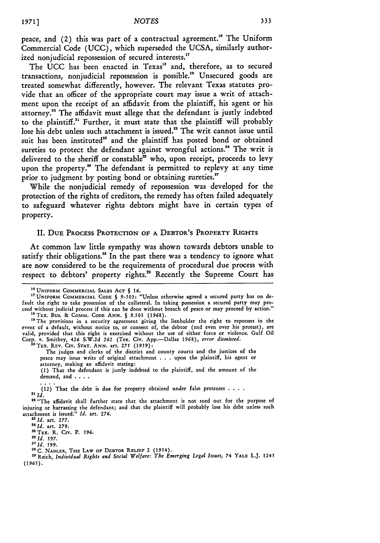peace, and (2) this was part of a contractual agreement." The Uniform Commercial Code **(UCC),** which superseded the **UCSA,** similarly authorized nonjudicial repossession of secured interests."

The UCC has been enacted in Texas<sup>18</sup> and, therefore, as to secured transactions, nonjudicial repossession is possible.1 " Unsecured goods are treated somewhat differently, however. The relevant Texas statutes provide that an officer of the appropriate court may issue a writ of attachment upon the receipt of an affidavit from the plaintiff, his agent or his attorney." The affidavit must allege that the defendant is justly indebted to the plaintiff.<sup>21</sup> Further, it must state that the plaintiff will probably lose his debt unless such attachment is issued.<sup>22</sup> The writ cannot issue until suit has been instituted" and the plaintiff has posted bond or obtained sureties to protect the defendant against wrongful actions.<sup>24</sup> The writ is delivered to the sheriff or constable<sup>25</sup> who, upon receipt, proceeds to levy upon the property.<sup>26</sup> The defendant is permitted to replevy at any time prior to judgment by posting bond or obtaining sureties.<sup>27</sup>

While the nonjudicial remedy of repossession was developed for the protection of the rights of creditors, the remedy has often failed adequately to safeguard whatever rights debtors might have in certain types of property.

#### II. DUE **PROCESS** PROTECTION OF **A** DEBTOR'S PROPERTY RIGHTS

At common law little sympathy was shown towards debtors unable to satisfy their obligations.<sup>28</sup> In the past there was a tendency to ignore what are now considered to be the requirements of procedural due process with respect to debtors' property rights." Recently the Supreme Court has

<sup>20</sup> Tex. Rev. Civ. Stat. ANN. art. 275 (1959)

**(1)** That the defendant is justly indebted to the plaintiff, and the amount **of** the demand, and . **...**

(12) That the debt is due for property obtained under false pretenses  $\ldots$  and  $Id$ .

<sup>22</sup> "The affidavit shall further state that the attachment is not sued out for the purpose of injuring or harrassing the defendant; and that the plaintiff will probably lose his debt unless such attachment is issued." *Id.* art. **276.**

**<sup>23</sup>Id.** art. **277. <sup>24</sup>***Id.* art. 279.

**"TEX.** R. Civ. P. *596.*

<sup>21</sup>*Id. 597.* <sup>21</sup>*Id.* **599.**

2 <sup>8</sup>**C. NADLER, THE LAW OF DEBTOR RELIEF** 2 (1954).

2" Reich, *Individual Rights and Social Welfare: The Emerging Legal Issues,* 74 **YALE** L.J. 1245 (1965).

**<sup>18</sup> UNIFORM COMMERCIAL** SALES ACT **§ 16.**

**<sup>17</sup>UNIFORM** COMMERCIAL **CODE** § **9-503:** "Unless otherwise agreed **a** secured party has on **de**fault the right to take possession of the collateral. In taking possession a secured party may proceed without judicial process if this can be done without breach of peace or may proceed **by** action."

<sup>&</sup>lt;sup>18</sup> ТEx. Bus. & Сомм. Соре Ann. § 9.503 (1968).<br><sup>19</sup> The provisions in a security agreement giving the lienholder the right to repossess in the event of a default, without notice to, or consent of, the debtor (and even over his protest), are valid, provided that this right is exercised without the use of either force or violence. Gulf Oil Corp. v. Smithey, 426 S.W.2d **262** (Tex. Civ. App.-Dallas 1968), *error dismissed.*

The judges and clerks of the district and county courts and the justices of the peace may issue writs of original attachment . **.** . upon the plaintiff, his agent or attorney, making an affidavit stating: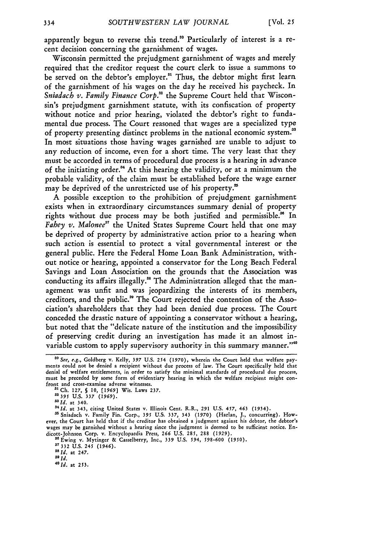apparently begun to reverse this trend." Particularly of interest is a recent decision concerning the garnishment of wages.

Wisconsin permitted the prejudgment garnishment of wages and merely required that the creditor request the court clerk to issue a summons to be served on the debtor's employer.<sup>31</sup> Thus, the debtor might first learn of the garnishment of his wages on the day he received his paycheck. In *Sniadach v. Family Finance Corp."* the Supreme Court held that Wisconsin's prejudgment garnishment statute, with its confiscation of property without notice and prior hearing, violated the debtor's right to fundamental due process. The Court reasoned that wages are a specialized type of property presenting distinct problems in the national economic system.<sup>38</sup> In most situations those having wages garnished are unable to adjust to any reduction of income, even for a short time. The very least that they must be accorded in terms of procedural due process is a hearing in advance of the initiating order.<sup>34</sup> At this hearing the validity, or at a minimum the probable validity, of the claim must be established before the wage earner may be deprived of the unrestricted use of his property.<sup>35</sup>

A possible exception to the prohibition of prejudgment garnishment exists when in extraordinary circumstances summary denial of property rights without due process may be both justified and permissible.<sup>36</sup> In *Fahey v. Malonee<sup>37</sup>* the United States Supreme Court held that one may be deprived of property by administrative action prior to a hearing when such action is essential to protect a vital governmental interest or the general public. Here the Federal Home Loan Bank Administration, without notice or hearing, appointed a conservator for the Long Beach Federal Savings and Loan Association on the grounds that the Association was conducting its affairs illegally." The Administration alleged that the management was unfit and was jeopardizing the interests of its members, creditors, and the public." The Court rejected the contention of the Association's shareholders that they had been denied due process. The Court conceded the drastic nature of appointing a conservator without a hearing, but noted that the "delicate nature of the institution and the impossibility of preserving credit during an investigation has made it an almost invariable custom to apply supervisory authority in this summary manner."<sup>40</sup>

**37332** U.S. 245 (1946).

 $\frac{38}{10}$  *Id.* at 247.

*<sup>&</sup>quot;0 See, e.g.,* Goldberg v. Kelly, *397* U.S. 254 (1970), wherein the Court held that welfare payments could not be denied a recipient without due process of law. The Court specifically held that denial of welfare entitlements, in order to satisfy the minimal standards of procedural due process, must be preceded by some form of evidentiary hearing in which the welfare recipient might confront and cross-examine adverse witnesses. **<sup>3</sup>**

**<sup>&#</sup>x27;** Ch. 127, **§ 10, [1969]** Wis. Laws 237. **"2395 U.S.** *337 (1969).*

<sup>&</sup>lt;sup>32</sup> 395 U.S. 337 (1969).<br><sup>33</sup> Id. at 340.

<sup>&</sup>lt;sup>34</sup> Id. at 343, citing United States v. Illinois Cent. R.R., 291 U.S. 457, 463 (1934).

**<sup>&#</sup>x27;** Sniadach v. Family Fin. Corp., 395 U.S. 337, 343 **(1970)** (Harlan, **J.,** concurring). However, the Court has held that if the creditor has obtained a judgment against his debtor, the debtor's wages may be garnished without a hearing since the judgment is deemed to be sufficient notice. Endicott-Johnson Corp. v. Encyclopaedia Press, **266** U.S. 285, 288 (1929).

**<sup>&#</sup>x27;"** Ewing **v.** Mytinger & Casselberry, Inc., 339 **U.S.** *594,* **598-600 (1950).**

<sup>&</sup>lt;sup>40</sup>*Id.* at 253.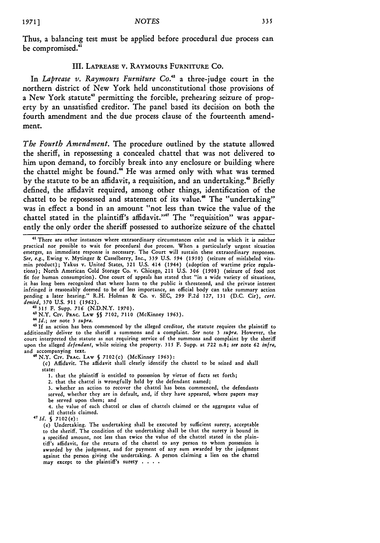Thus, a balancing test must be applied before procedural due process can be compromised.<sup>41</sup>

#### III. **LAPREASE** V. RAYMOURS FURNITURE **CO.**

In *Laprease v. Raymours Furniture Co.*<sup>42</sup> a three-judge court in the northern district of New York held unconstitutional those provisions of a New York statute<sup>43</sup> permitting the forcible, prehearing seizure of property **by** an unsatisfied creditor. The panel based its decision on both the fourth amendment and the due process clause of the fourteenth amendment.

*The Fourth Amendment.* The procedure outlined **by** the statute allowed the sheriff, in repossessing a concealed chattel that was not delivered to him upon demand, to forcibly break into any enclosure or building where the chattel might be found." He was armed only with what was termed **by** the statute to be an affidavit, a requisition, and an undertaking." Briefly defined, the affidavit required, among other things, identification of the chattel to be repossessed and statement of its value." The "undertaking" was in effect a bond in an amount "not less than twice the value of the chattel stated in the plaintiff's affidavit."<sup>47</sup> The "requisition" was apparently the only order the sheriff possessed to authorize seizure of the chattel

<sup>44</sup>*Id.; see* note 3 supra.

<sup>45</sup> If an action has been commenced by the alleged creditor, the statute requires the plaintiff to additionally deliver to the sheriff a summons and a complaint. *See* note 3 supra. However, the court interpreted the statute as not requiring service of the summons and complaint by the sheriff upon the alleged *defendant,* while seizing the property. 315 F. Supp. at 722 n.8; *see* note **62** infra, and accompanying text.

'N.Y. Cxv. PRAc. **LAW § 7102(c)** (McKinney **1963):**

(c) Affidavit. The affidavit shall clearly identify the chattel to be seized and shall state:

1. that the plaintiff is entitled to possession by virtue of facts set forth;

2. that the chattel is wrongfully held by the defendant named;

3. whether an action to recover the chattel has been commenced, the defendants served, whether they are in default, and, if they have appeared, where papers may be served upon them; and

4. the value of each chattel or class of chattels claimed or the aggregate value of all chattels claimed.

*4 7 1Id. §* 7102(e):

(e) Undertaking. The undertaking shall **be** executed by sufficient surety, acceptable to the sheriff. The condition of the undertaking shall be that the surety is bound in a specified amount, not less than twice the value of the chattel stated in the plaintiff's affidavit, for the return **of** the chattel to any person to whom possession is awarded by the judgment, and for payment of any sum awarded by the judgment against the person giving the undertaking. A person claiming a lien on the chattel may except to the plaintiff's surety . **...**

<sup>&</sup>lt;sup>41</sup> There are other instances where extraordinary circumstances exist and in which it is neither practical nor possible to wait for procedural due process. When a particularly urgent situation emerges, an immediate response is necessary. The Court will sustain these extraordinary responses. *See, e.g.,* Ewing v. Mytinger & Casselberry, Inc., **339** U.S. **594** (1950) (seizure of mislabeled vita-min product); Yakus v. United States, **321** U.S. 414 (1944) (adoption of wartime price regulations); North American Cold Storage Co. v. Chicago, 211 U.S. **306** (1908) (seizure of food not fit for human consumption). One court of appeals has stated that "in a wide variety of situations, it has long been recognized that where harm to the public is threatened, and the private interest infringed is reasonably deemed to be of less importance, an official body can take summary action pending a later hearing." R.H. Holman & Co. v. SEC, 299 F.2d 127, **131** (D.C. Cir), *cert. denied,* 370 **U.S. 911** (1962).

<sup>42315</sup> F. Supp. *716* (N.D.N.Y. 1970).

<sup>&#</sup>x27;N.Y. **CIv.** PlAc. LAW **§§** 7102, 7110 (McKinney 1963).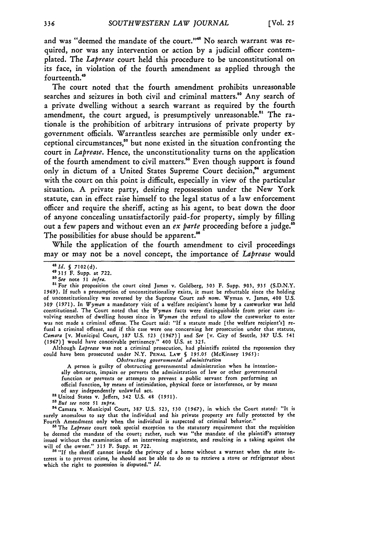and was "deemed the mandate of the court."'" No search warrant was required, nor was any intervention or action by a judicial officer contemplated. The Laprease court held this procedure to be unconstitutional on its face, in violation of the fourth amendment as applied through the fourteenth."

The court noted that the fourth amendment prohibits unreasonable searches and seizures in both civil and criminal matters.<sup>50</sup> Any search of a private dwelling without a search warrant as required by the fourth amendment, the court argued, is presumptively unreasonable.<sup>51</sup> The rationale is the prohibition of arbitrary intrusions of private property by government officials. Warrantless searches are permissible only under exceptional circumstances,"2 but none existed in the situation confronting the court in *Laprease.* Hence, the unconstitutionality turns on the application of the fourth amendment to civil matters." Even though support is found only in dictum of a United States Supreme Court decision,<sup>64</sup> argument with the court on this point is difficult, especially in view of the particular situation. A private party, desiring repossession under the New York statute, can in effect raise himself to the legal status of a law enforcement officer and require the sheriff, acting as his agent, to beat down the door of anyone concealing unsatisfactorily paid-for property, simply by filling out a few papers and without even an *ex parte* proceeding before a judge.' The possibilities for abuse should be apparent.<sup>86</sup>

While the application of the fourth amendment to civil proceedings may or may not be a novel concept, the importance of *Laprease* would

*4 Sld. §* 7102(d). 49315 F. Supp. at **722. so** *See* note **51** *infra.*

"1For this proposition the court cited James v. Goldberg, **303** F. Supp. **903,** *935* (S.D.N.Y. 1969). If such a presumption of unconstitutionality exists, it must be rebuttable since the holding of unconstitutionality was reversed by the Supreme Court *sub nom.* Wyman v. James, 400 U.S. *309* (1971). In *Wyman* a mandatory visit of a welfare recipient's home **by** a caseworker was held constitutional. The Court noted that the *Wyman* facts were distinguishable from prior cases involving searches of dwelling houses since in *Wyman* the refusal to allow the caseworker to enter was not made a criminal offense. The Court said: "If a statute made [the welfare recipient's] refusal a criminal offense, and if this case were one concerning her prosecution under that statute, *Camara* [v. Municipal Court, **387** U.S. 523 (1967)] and *See* [v. City of Seattle, **387** U.S. 541 (1967)] would have conceivable pertinency." 400 U.S. at 325.

Although *Laprease* was not a criminal prosecution, had plaintiffs resisted the repossession they could have been prosecuted under N.Y. **PENAL LAW §** 195.05 (McKinney **1965):** *Obstructing governmental administration*

A person is guilty of obstructing governmental administration when he intentionally obstructs, impairs or perverts the administration of law or other governmental function or prevents or attempts to prevent a public servant from performing an official function, **by** means of intimidation, physical force or interference, or by means

of any independently unlawful act.<br><sup>52</sup> United States v. Jeffers, 342 U.S. 48 (1951).

*<sup>53</sup>But see* note 51 *supra.*

4Camara v. Municipal Court, **387** U.S. 523, **530** (1967), in which the Court stated: "It is surely anomalous to say that the individual and his private property are fully protected by the Fourth Amendment only when the individual is suspected of criminal behavior.

<sup>55</sup> The *Laprease* court took special exception to the statutory requirement that the requisition be deemed the mandate of the court; rather, such was "the mandate of the plaintiff's attorney issued without the examination of an intervening magistrate, and resulting in a taking against the will of the owner." 315 F. Supp. at **722.**

<sup>56</sup> "If the sheriff cannot invade the privacy of a home without a warrant when the state interest is to prevent crime, he should not be able to do so to retrieve a stove or refrigerator about which the right to possession *is* disputed." *Id.*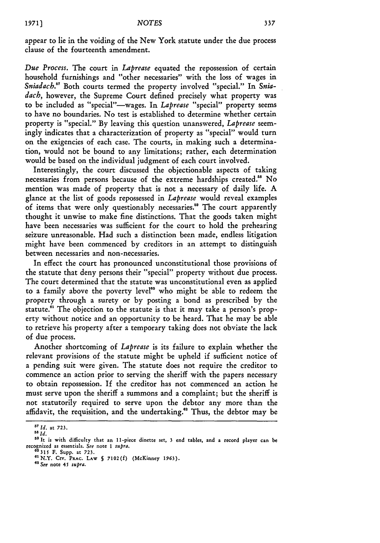appear to lie in the voiding of the New York statute under the due process clause of the fourteenth amendment.

*Due Process.* The court in *Laprease* equated the repossession of certain household furnishings and "other necessaries" with the loss of wages in Sniadach.<sup>57</sup> Both courts termed the property involved "special." In Sniadach, however, the Supreme Court defined precisely what property was to be included as "special"--wages. In *Laprease* "special" property seems to have no boundaries. No test is established to determine whether certain property is "special." By leaving this question unanswered, *Laprease* seemingly indicates that a characterization of property as "special" would turn on the exigencies of each case. The courts, in making such a determination, would not be bound to any limitations; rather, each determination would be based on the individual judgment of each court involved.

Interestingly, the court discussed the objectionable aspects of taking necessaries from persons because of the extreme hardships created." No mention was made of property that is not a necessary of daily life. A glance at the list of goods repossessed in *Laprease* would reveal examples of items that were only questionably necessaries." The court apparently thought it unwise to make fine distinctions. That the goods taken might have been necessaries was sufficient for the court to hold the prehearing seizure unreasonable. Had such a distinction been made, endless litigation might have been commenced by creditors in an attempt to distinguish between necessaries and non-necessaries.

In effect the court has pronounced unconstitutional those provisions of the statute that deny persons their "special" property without due process. The court determined that the statute was unconstitutional even as applied to a family above the poverty level<sup>60</sup> who might be able to redeem the property through a surety or by posting a bond as prescribed by the statute.<sup>61</sup> The objection to the statute is that it may take a person's property without notice and an opportunity to be heard. That he may be able to retrieve his property after a temporary taking does not obviate the lack of due process.

Another shortcoming of *Laprease* is its failure to explain whether the relevant provisions of the statute might be upheld if sufficient notice of a pending suit were given. The statute does not require the creditor to commence an action prior to serving the sheriff with the papers necessary to obtain repossession. **If** the creditor has not commenced an action he must serve upon the sheriff a summons and a complaint; but the sheriff is not statutorily required to serve upon the debtor any more than the affidavit, the requisition, and the undertaking.<sup>62</sup> Thus, the debtor may be

*<sup>57</sup> Id.* **at 723.**

**<sup>58</sup>** *Id.*

<sup>&</sup>quot; It is with difficulty that **an** 11-piece dinette set, **3** end tables, **and a record** player **can be** recognized **as** essentials. *See* **note 1** *supra.*

**<sup>&</sup>quot;°315 F.** Supp. **at 723.**

<sup>&</sup>quot;N.Y. **CIV. PRAC. LAW § 7102(f)** (McKinney **1963).** e2 **See** note *45 supra.*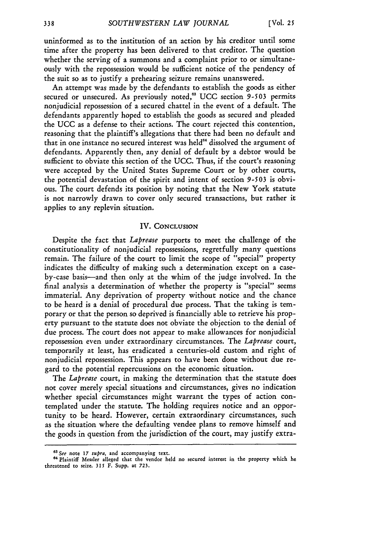uninformed as to the institution **of an** action by his creditor until some time after the property has been delivered to that creditor. The question whether the serving of a summons and a complaint prior to or simultaneously with the repossession would be sufficient notice of the pendency of the suit so as to justify a prehearing seizure remains unanswered.

An attempt was made by the defendants to establish the goods as either secured or unsecured. As previously noted," UCC section *9-503* permits nonjudicial repossession of a secured chattel in the event of a default. The defendants apparently hoped to establish the goods as secured and pleaded the UCC as a defense to their actions. The court rejected this contention, reasoning that the plaintiff's allegations that there had been no default and that in one instance no secured interest was held<sup>64</sup> dissolved the argument of defendants. Apparently then, any denial of default by a debtor would be sufficient to obviate this section of the UCC. Thus, if the court's reasoning were accepted by the United States Supreme Court or by other courts, the potential devastation of the spirit and intent of section *9-503* is obvious. The court defends its position by noting that the New York statute is not narrowly drawn to cover only secured transactions, but rather it applies to any replevin situation.

#### IV. **CONCLUSION**

Despite the fact that *Laprease* purports to meet the challenge **of** the constitutionality of nonjudicial repossessions, regretfully many questions remain. The failure of the court to limit the scope of "special" property indicates the difficulty of making such a determination except on a caseby-case basis-and then only at the whim of the judge involved. In the final analysis a determination of whether the property is "special" seems immaterial. Any deprivation of property without notice and the chance to be heard is a denial of procedural due process. That the taking is temporary or that the person so deprived is financially able to retrieve his property pursuant to the statute does not obviate the objection to the denial of due process. The court does not appear to make allowances for nonjudicial repossession even under extraordinary circumstances. The *Laprease* court, temporarily at least, has eradicated a centuries-old custom and right of nonjudicial repossession. This appears to have been done without due regard to the potential repercussions on the economic situation.

The *Laprease* court, in making the determination that the statute does not cover merely special situations and circumstances, gives no indication whether special circumstances might warrant the types of action contemplated under the statute. The holding requires notice and an opportunity to be heard. However, certain extraordinary circumstances, such as the situation where the defaulting vendee plans to remove himself and the goods in question from the jurisdiction of the court, may justify extra-

*e See* note **17** *supra,* and accompanying text.

<sup>&</sup>lt;sup>64</sup> Plaintiff Messler alleged that the vendor held no secured interest in the property which he threatened to seize. **315** F. Supp. at **723.**